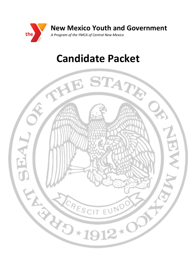

# **Candidate Packet**

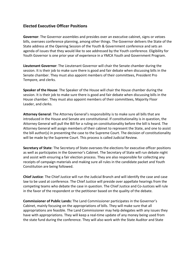## **Elected Executive Officer Positions**

**Governor**: The Governor assembles and presides over an executive cabinet, signs or vetoes bills, oversees conference planning, among other things. The Governor delivers the State of the State address at the Opening Session of the Youth & Government conference and sets an agenda of issues that they would like to see addressed by the Youth conference. Eligibility for Youth Governor is one prior year of experience in a YMCA Youth and Government Program.

**Lieutenant Governor**: The Lieutenant Governor will chair the Senate chamber during the session. It is their job to make sure there is good and fair debate when discussing bills in the Senate chamber. They must also appoint members of their committees, President Pro Tempore, and clerks.

**Speaker of the House**: The Speaker of the House will chair the House chamber during the session. It is their job to make sure there is good and fair debate when discussing bills in the House chamber. They must also appoint members of their committees, Majority Floor Leader, and clerks.

**Attorney General**: The Attorney General's responsibility is to make sure all bills that are introduced in the House and Senate are constitutional. If constitutionality is in question, the Attorney General will pull the Bill for a ruling on constitutionality before the bill is heard. The Attorney General will assign members of their cabinet to represent the State, and one to assist the bill author(s) in presenting the case to the Supreme Court. The decision of constitutionality will be made by the Supreme Court. This process is called Judicial Review.

**Secretary of State**: The Secretary of State oversees the elections for executive officer positions as well as participates in the Governor's Cabinet. The Secretary of State will run debate night and assist with ensuring a fair election process. They are also responsible for collecting any receipts of campaign materials and making sure all rules in the candidate packet and Youth Constitution are being followed.

**Chief Justice**: The Chief Justice will run the Judicial Branch and will identify the case and case law to be used at conference. The Chief Justice will preside over appellate hearings from the competing teams who debate the case in question. The Chief Justice and Co-Justices will rule in the favor of the respondent or the petitioner based on the quality of the debate.

**Commissioner of Public Lands:** The Land Commissioner participates in the Governor's Cabinet, mainly focusing on the appropriations of bills. They will make sure that all appropriations are feasible. The Land Commissioner may help delegates with any issues they have with appropriations. They will keep a real-time update of any money being used from the state fund during the conference. They will also work with the State Auditor and State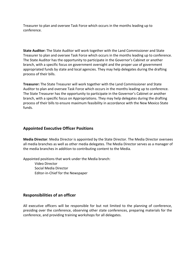Treasurer to plan and oversee Task Force which occurs in the months leading up to conference.

**State Auditor:** The State Auditor will work together with the Land Commissioner and State Treasurer to plan and oversee Task Force which occurs in the months leading up to conference. The State Auditor has the opportunity to participate in the Governor's Cabinet or another branch, with a specific focus on government oversight and the proper use of government appropriated funds by state and local agencies. They may help delegates during the drafting process of their bills.

**Treasurer:** The State Treasurer will work together with the Land Commissioner and State Auditor to plan and oversee Task Force which occurs in the months leading up to conference. The State Treasurer has the opportunity to participate in the Governor's Cabinet or another branch, with a specific focus on Appropriations. They may help delegates during the drafting process of their bills to ensure maximum feasibility in accordance with the New Mexico State funds.

# **Appointed Executive Officer Positions**

**Media Director**: Media Director is appointed by the State Director. The Media Director oversees all media branches as well as other media delegates. The Media Director serves as a manager of the media branches in addition to contributing content to the Media.

Appointed positions that work under the Media branch:

Video Director Social Media Director Editor-in-Chief for the Newspaper

## **Responsibilities of an officer**

All executive officers will be responsible for but not limited to the planning of conference, presiding over the conference, observing other state conferences, preparing materials for the conference, and providing training workshops for all delegates.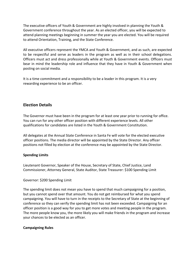The executive officers of Youth & Government are highly involved in planning the Youth & Government conference throughout the year. As an elected officer, you will be expected to attend planning meetings beginning in summer the year you are elected. You will be required to attend Orientation, Training, and the State Conference.

All executive officers represent the YMCA and Youth & Government, and as such, are expected to be respectful and serve as leaders in the program as well as in their school delegations. Officers must act and dress professionally while at Youth & Government events. Officers must bear in mind the leadership role and influence that they have in Youth & Government when posting on social media.

It is a time commitment and a responsibility to be a leader in this program. It is a very rewarding experience to be an officer.

## **Election Details**

The Governor must have been in the program for at least one year prior to running for office. You can run for any other officer position with different experience levels. All other qualifications for candidates are listed in the Youth & Government Constitution.

All delegates at the Annual State Conference in Santa Fe will vote for the elected executive officer positions. The media director will be appointed by the State Director. Any officer positions not filled by election at the conference may be appointed by the State Director.

## **Spending Limits**

Lieutenant Governor, Speaker of the House, Secretary of State, Chief Justice, Land Commissioner, Attorney General, State Auditor, State Treasurer: \$100 Spending Limit

#### Governor: \$200 Spending Limit

The spending limit does not mean you have to spend that much campaigning for a position, but you cannot spend over that amount. You do not get reimbursed for what you spend campaigning. You will have to turn in the receipts to the Secretary of State at the beginning of conference so they can verify the spending limit has not been exceeded. Campaigning for an officer position is a good way for you to get more votes and meeting people in the program. The more people know you, the more likely you will make friends in the program and increase your chances to be elected as an officer.

#### **Campaigning Rules**